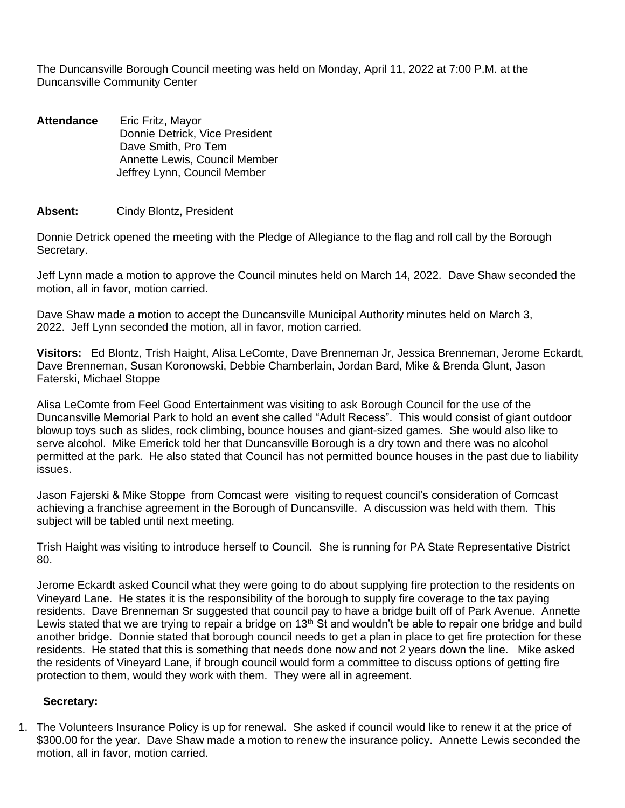The Duncansville Borough Council meeting was held on Monday, April 11, 2022 at 7:00 P.M. at the Duncansville Community Center

**Attendance** Eric Fritz, Mayor Donnie Detrick, Vice President Dave Smith, Pro Tem Annette Lewis, Council Member Jeffrey Lynn, Council Member

### **Absent:** Cindy Blontz, President

Donnie Detrick opened the meeting with the Pledge of Allegiance to the flag and roll call by the Borough Secretary.

Jeff Lynn made a motion to approve the Council minutes held on March 14, 2022. Dave Shaw seconded the motion, all in favor, motion carried.

Dave Shaw made a motion to accept the Duncansville Municipal Authority minutes held on March 3, 2022. Jeff Lynn seconded the motion, all in favor, motion carried.

**Visitors:** Ed Blontz, Trish Haight, Alisa LeComte, Dave Brenneman Jr, Jessica Brenneman, Jerome Eckardt, Dave Brenneman, Susan Koronowski, Debbie Chamberlain, Jordan Bard, Mike & Brenda Glunt, Jason Faterski, Michael Stoppe

Alisa LeComte from Feel Good Entertainment was visiting to ask Borough Council for the use of the Duncansville Memorial Park to hold an event she called "Adult Recess". This would consist of giant outdoor blowup toys such as slides, rock climbing, bounce houses and giant-sized games. She would also like to serve alcohol. Mike Emerick told her that Duncansville Borough is a dry town and there was no alcohol permitted at the park. He also stated that Council has not permitted bounce houses in the past due to liability issues.

Jason Fajerski & Mike Stoppe from Comcast were visiting to request council's consideration of Comcast achieving a franchise agreement in the Borough of Duncansville. A discussion was held with them. This subject will be tabled until next meeting.

Trish Haight was visiting to introduce herself to Council. She is running for PA State Representative District 80.

Jerome Eckardt asked Council what they were going to do about supplying fire protection to the residents on Vineyard Lane. He states it is the responsibility of the borough to supply fire coverage to the tax paying residents. Dave Brenneman Sr suggested that council pay to have a bridge built off of Park Avenue. Annette Lewis stated that we are trying to repair a bridge on  $13<sup>th</sup>$  St and wouldn't be able to repair one bridge and build another bridge. Donnie stated that borough council needs to get a plan in place to get fire protection for these residents. He stated that this is something that needs done now and not 2 years down the line. Mike asked the residents of Vineyard Lane, if brough council would form a committee to discuss options of getting fire protection to them, would they work with them. They were all in agreement.

### **Secretary:**

1. The Volunteers Insurance Policy is up for renewal. She asked if council would like to renew it at the price of \$300.00 for the year. Dave Shaw made a motion to renew the insurance policy. Annette Lewis seconded the motion, all in favor, motion carried.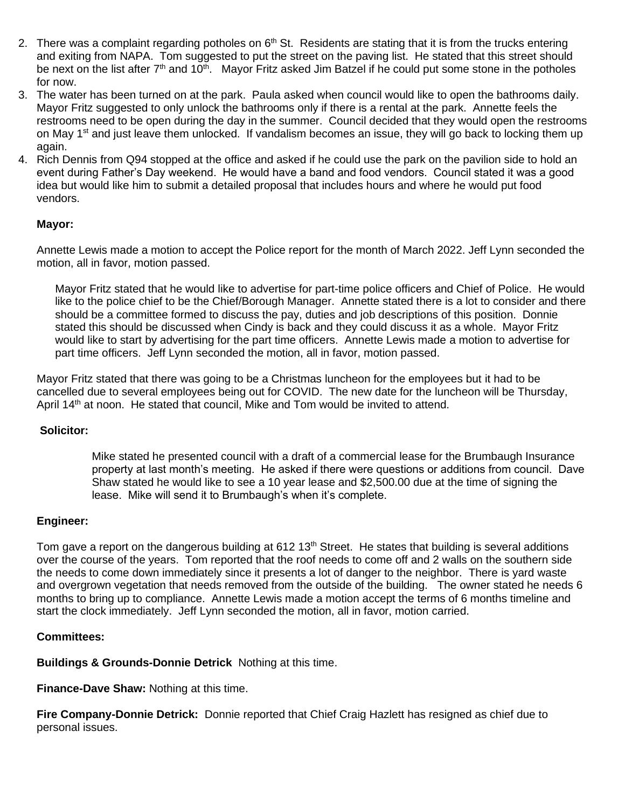- 2. There was a complaint regarding potholes on 6<sup>th</sup> St. Residents are stating that it is from the trucks entering and exiting from NAPA. Tom suggested to put the street on the paving list. He stated that this street should be next on the list after  $7<sup>th</sup>$  and 10<sup>th</sup>. Mayor Fritz asked Jim Batzel if he could put some stone in the potholes for now.
- 3. The water has been turned on at the park. Paula asked when council would like to open the bathrooms daily. Mayor Fritz suggested to only unlock the bathrooms only if there is a rental at the park. Annette feels the restrooms need to be open during the day in the summer. Council decided that they would open the restrooms on May  $1<sup>st</sup>$  and just leave them unlocked. If vandalism becomes an issue, they will go back to locking them up again.
- 4. Rich Dennis from Q94 stopped at the office and asked if he could use the park on the pavilion side to hold an event during Father's Day weekend. He would have a band and food vendors. Council stated it was a good idea but would like him to submit a detailed proposal that includes hours and where he would put food vendors.

# **Mayor:**

Annette Lewis made a motion to accept the Police report for the month of March 2022. Jeff Lynn seconded the motion, all in favor, motion passed.

Mayor Fritz stated that he would like to advertise for part-time police officers and Chief of Police. He would like to the police chief to be the Chief/Borough Manager. Annette stated there is a lot to consider and there should be a committee formed to discuss the pay, duties and job descriptions of this position. Donnie stated this should be discussed when Cindy is back and they could discuss it as a whole. Mayor Fritz would like to start by advertising for the part time officers. Annette Lewis made a motion to advertise for part time officers. Jeff Lynn seconded the motion, all in favor, motion passed.

Mayor Fritz stated that there was going to be a Christmas luncheon for the employees but it had to be cancelled due to several employees being out for COVID. The new date for the luncheon will be Thursday, April  $14<sup>th</sup>$  at noon. He stated that council, Mike and Tom would be invited to attend.

#### **Solicitor:**

Mike stated he presented council with a draft of a commercial lease for the Brumbaugh Insurance property at last month's meeting. He asked if there were questions or additions from council. Dave Shaw stated he would like to see a 10 year lease and \$2,500.00 due at the time of signing the lease. Mike will send it to Brumbaugh's when it's complete.

# **Engineer:**

Tom gave a report on the dangerous building at 612 13<sup>th</sup> Street. He states that building is several additions over the course of the years. Tom reported that the roof needs to come off and 2 walls on the southern side the needs to come down immediately since it presents a lot of danger to the neighbor. There is yard waste and overgrown vegetation that needs removed from the outside of the building. The owner stated he needs 6 months to bring up to compliance. Annette Lewis made a motion accept the terms of 6 months timeline and start the clock immediately. Jeff Lynn seconded the motion, all in favor, motion carried.

#### **Committees:**

**Buildings & Grounds-Donnie Detrick** Nothing at this time.

**Finance-Dave Shaw:** Nothing at this time.

**Fire Company-Donnie Detrick:** Donnie reported that Chief Craig Hazlett has resigned as chief due to personal issues.